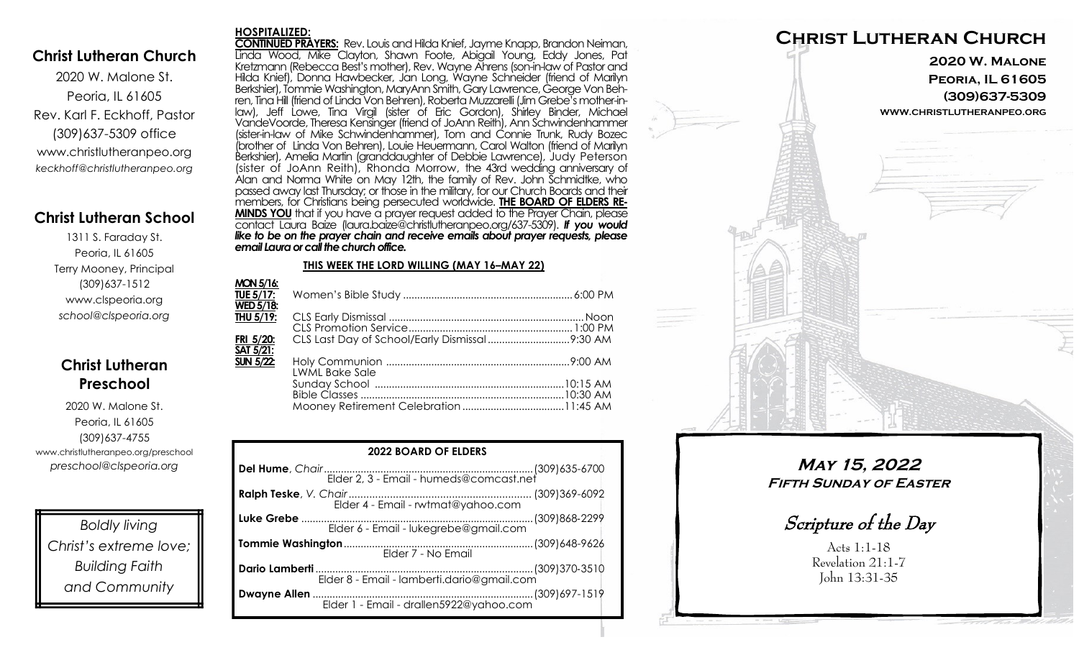### **Christ Lutheran Church**

2020 W. Malone St. Peoria, IL 61605 Rev. Karl F. Eckhoff, Pastor (309)637-5309 office www.christlutheranpeo.org *keckhoff@christlutheranpeo.org*

## **Christ Lutheran School**

1311 S. Faraday St. Peoria, IL 61605 Terry Mooney, Principal (309)637-1512 www.clspeoria.org *school@clspeoria.org*

## **Christ Lutheran Preschool**

2020 W. Malone St. Peoria, IL 61605 (309)637-4755 www.christlutheranpeo.org/preschool *preschool@clspeoria.org*

*Boldly living Christ's extreme love; Building Faith and Community*

#### **HOSPITALIZED:**

**CONTINUED PRAYERS:** Rev. Louis and Hilda Knief, Jayme Knapp, Brandon Neiman, Linda Wood, Mike Clayton, Shawn Foote, Abigail Young, Eddy Jones, Pat Kretzmann (Rebecca Best's mother), Rev. Wayne Ahrens (son-in-law of Pastor and Hilda Knief), Donna Hawbecker, Jan Long, Wayne Schneider (friend of Marilyn Berkshier), Tommie Washington, MaryAnn Smith, Gary Lawrence, George Von Behren, Tina Hill (friend of Linda Von Behren), Roberta Muzzarelli (Jim Grebe's mother-inlaw), Jeff Lowe, Tina Virgil (sister of Eric Gordon), Shirley Binder, Michael VandeVoorde, Theresa Kensinger (friend of JoAnn Reith), Ann Schwindenhammer (sister-in-law of Mike Schwindenhammer), Tom and Connie Trunk, Rudy Bozec (brother of Linda Von Behren), Louie Heuermann, Carol Walton (friend of Marilyn Berkshier), Amelia Martin (granddaughter of Debbie Lawrence), Judy Peterson (sister of JoAnn Reith), Rhonda Morrow, the 43rd wedding anniversary of Alan and Norma White on May 12th, the family of Rev. John Schmidtke, who passed away last Thursday; or those in the military, for our Church Boards and their members, for Christians being persecuted worldwide. **THE BOARD OF ELDERS RE-MINDS YOU** that if you have a prayer request added to the Prayer Chain, please contact Laura Baize (laura.baize@christlutheranpeo.org/637-5309). *If you would*  like to be on the prayer chain and receive emails about prayer requests, please *email Laura or call the church office.*

#### **THIS WEEK THE LORD WILLING (MAY 16–MAY 22)**

| <b>MON 5/16:</b> |                       |  |
|------------------|-----------------------|--|
| <b>TUE 5/17:</b> |                       |  |
| <b>WED 5/18:</b> |                       |  |
| THU $5/19$ :     |                       |  |
|                  |                       |  |
| FRI 5/20:        |                       |  |
| <b>SAT 5/21:</b> |                       |  |
| <b>SUN 5/22:</b> |                       |  |
|                  | <b>LWML Bake Sale</b> |  |
|                  |                       |  |
|                  |                       |  |
|                  |                       |  |
|                  |                       |  |

| <b>2022 BOARD OF ELDERS</b>           |  |  |  |
|---------------------------------------|--|--|--|
|                                       |  |  |  |
|                                       |  |  |  |
| Elder 6 - Email - lukegrebe@gmail.com |  |  |  |
|                                       |  |  |  |
|                                       |  |  |  |
|                                       |  |  |  |



**May 15, 2022 Fifth Sunday of Easter**

Scripture of the Day

Acts 1:1-18 Revelation 21:1-7 John 13:31-35